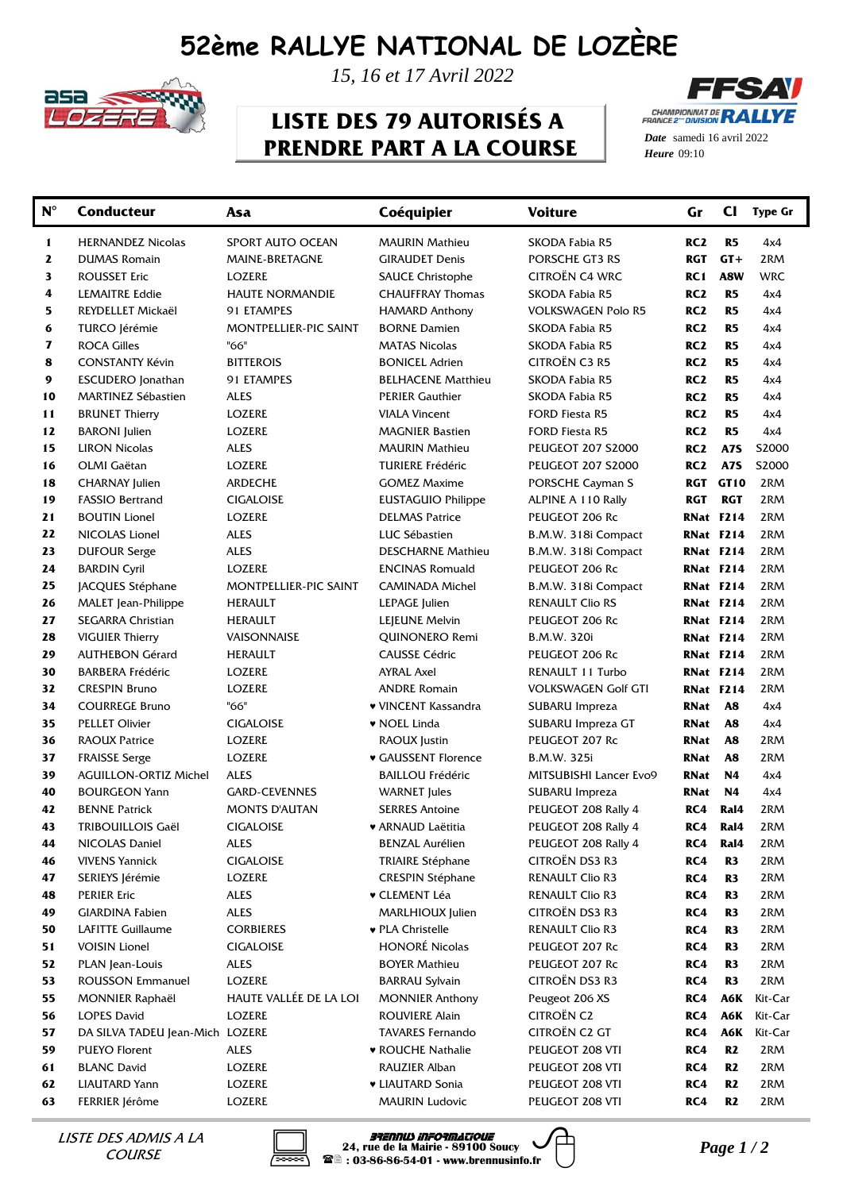## **52ème RALLYE NATIONAL DE LOZÈRE**



*15, 16 et 17 Avril 2022*

## **LISTE DES 79 AUTORISÉS A PRENDRE PART A LA COURSE**



*Date* samedi 16 avril 2022 *Heure*

| $N^{\circ}$ | <b>Conducteur</b>               | Asa                    | Coéquipier                | <b>Voiture</b>             | Gr              | $_{\rm CI}$      | <b>Type Gr</b> |
|-------------|---------------------------------|------------------------|---------------------------|----------------------------|-----------------|------------------|----------------|
| 1           | <b>HERNANDEZ Nicolas</b>        | SPORT AUTO OCEAN       | MAURIN Mathieu            | SKODA Fabia R5             | RC <sub>2</sub> | R <sub>5</sub>   | 4x4            |
| 2           | <b>DUMAS Romain</b>             | MAINE-BRETAGNE         | <b>GIRAUDET Denis</b>     | PORSCHE GT3 RS             | RGT             | $GT +$           | 2RM            |
| 3           | <b>ROUSSET Eric</b>             | LOZERE                 | <b>SAUCE Christophe</b>   | CITROËN C4 WRC             | RC1             | A8W              | <b>WRC</b>     |
| 4           | <b>LEMAITRE Eddie</b>           | <b>HAUTE NORMANDIE</b> | <b>CHAUFFRAY Thomas</b>   | SKODA Fabia R5             | RC <sub>2</sub> | R <sub>5</sub>   | 4x4            |
| 5           | REYDELLET Mickaël               | 91 ETAMPES             | <b>HAMARD Anthony</b>     | VOLKSWAGEN Polo R5         | RC <sub>2</sub> | R <sub>5</sub>   | 4x4            |
| 6           | TURCO Jérémie                   | MONTPELLIER-PIC SAINT  | <b>BORNE Damien</b>       | SKODA Fabia R5             | RC <sub>2</sub> | R <sub>5</sub>   | 4x4            |
| 7           | <b>ROCA Gilles</b>              | "66"                   | <b>MATAS Nicolas</b>      | SKODA Fabia R5             | RC <sub>2</sub> | R <sub>5</sub>   | 4x4            |
| 8           | <b>CONSTANTY Kévin</b>          | <b>BITTEROIS</b>       | <b>BONICEL Adrien</b>     | CITROËN C3 R5              | RC <sub>2</sub> | R <sub>5</sub>   | 4x4            |
| 9           | <b>ESCUDERO</b> Jonathan        | 91 ETAMPES             | <b>BELHACENE Matthieu</b> | SKODA Fabia R5             | RC <sub>2</sub> | R <sub>5</sub>   | 4x4            |
| 10          | <b>MARTINEZ Sébastien</b>       | ALES                   | <b>PERIER Gauthier</b>    | SKODA Fabia R5             | RC <sub>2</sub> | R <sub>5</sub>   | 4x4            |
| 11          | <b>BRUNET Thierry</b>           | LOZERE                 | <b>VIALA Vincent</b>      | FORD Fiesta R5             | RC <sub>2</sub> | R <sub>5</sub>   | 4x4            |
| 12          | <b>BARONI</b> Julien            | LOZERE                 | <b>MAGNIER Bastien</b>    | FORD Fiesta R5             | RC <sub>2</sub> | R <sub>5</sub>   | 4x4            |
| 15          | <b>LIRON Nicolas</b>            | ALES                   | <b>MAURIN Mathieu</b>     | <b>PEUGEOT 207 S2000</b>   | RC <sub>2</sub> | A7S              | S2000          |
| 16          | OLMI Gaëtan                     | LOZERE                 | <b>TURIERE Frédéric</b>   | <b>PEUGEOT 207 S2000</b>   | RC2             | A7S              | S2000          |
| 18          | <b>CHARNAY Julien</b>           | ARDECHE                | <b>GOMEZ Maxime</b>       | PORSCHE Cayman S           | RGT             | GT10             | 2RM            |
| 19          | <b>FASSIO Bertrand</b>          | CIGALOISE              | <b>EUSTAGUIO Philippe</b> | ALPINE A 110 Rally         | <b>RGT</b>      | <b>RGT</b>       | 2RM            |
| 21          | <b>BOUTIN Lionel</b>            | LOZERE                 | <b>DELMAS Patrice</b>     | PEUGEOT 206 Rc             |                 | <b>RNat F214</b> | 2RM            |
| 22          | NICOLAS Lionel                  | ALES                   | LUC Sébastien             | B.M.W. 318i Compact        |                 | <b>RNat F214</b> | 2RM            |
| 23          | <b>DUFOUR Serge</b>             | ALES                   | <b>DESCHARNE Mathieu</b>  | B.M.W. 318i Compact        |                 | RNat F214        | 2RM            |
| 24          | <b>BARDIN Cyril</b>             | LOZERE                 | <b>ENCINAS Romuald</b>    | PEUGEOT 206 Rc             |                 | <b>RNat F214</b> | 2RM            |
| 25          | <b>JACQUES Stéphane</b>         | MONTPELLIER-PIC SAINT  | CAMINADA Michel           | B.M.W. 318i Compact        |                 | <b>RNat F214</b> | 2RM            |
| 26          | MALET Jean-Philippe             | <b>HERAULT</b>         | LEPAGE Julien             | RENAULT Clio RS            |                 | <b>RNat F214</b> | 2RM            |
| 27          | SEGARRA Christian               | HERAULT                | LEJEUNE Melvin            | PEUGEOT 206 Rc             |                 | RNat F214        | 2RM            |
| 28          | <b>VIGUIER Thierry</b>          | VAISONNAISE            | QUINONERO Remi            | B.M.W. 320i                |                 | <b>RNat F214</b> | 2RM            |
| 29          | <b>AUTHEBON Gérard</b>          | <b>HERAULT</b>         | <b>CAUSSE Cédric</b>      | PEUGEOT 206 Rc             |                 | RNat F214        | 2RM            |
| 30          | <b>BARBERA Frédéric</b>         | LOZERE                 | <b>AYRAL Axel</b>         | RENAULT 11 Turbo           |                 | RNat F214        | 2RM            |
| 32          | <b>CRESPIN Bruno</b>            | LOZERE                 | <b>ANDRE Romain</b>       | <b>VOLKSWAGEN Golf GTI</b> | RNat F214       |                  | 2RM            |
| 34          | <b>COURREGE Bruno</b>           | "66"                   | ♥ VINCENT Kassandra       | SUBARU Impreza             | RNat            | A <sub>8</sub>   | 4x4            |
| 35          | <b>PELLET Olivier</b>           | <b>CIGALOISE</b>       | ♥ NOEL Linda              | SUBARU Impreza GT          | RNat            | A <sub>8</sub>   | 4x4            |
| 36          | <b>RAOUX Patrice</b>            | LOZERE                 | RAOUX Justin              | PEUGEOT 207 Rc             | RNat            | A8               | 2RM            |
| 37          | <b>FRAISSE Serge</b>            | <b>LOZERE</b>          | ♥ GAUSSENT Florence       | B.M.W. 325i                | RNat            | A8               | 2RM            |
| 39          | <b>AGUILLON-ORTIZ Michel</b>    | ALES                   | <b>BAILLOU Frédéric</b>   | MITSUBISHI Lancer Evo9     | RNat            | N4               | 4x4            |
| 40          | <b>BOURGEON Yann</b>            | <b>GARD-CEVENNES</b>   | <b>WARNET</b> Jules       | SUBARU Impreza             | <b>RNat</b>     | N4               | 4x4            |
| 42          | <b>BENNE Patrick</b>            | <b>MONTS D'AUTAN</b>   | <b>SERRES Antoine</b>     | PEUGEOT 208 Rally 4        | RC4             | Ral4             | 2RM            |
| 43          | TRIBOUILLOIS Gaël               | CIGALOISE              | ♥ ARNAUD Laëtitia         | PEUGEOT 208 Rally 4        | RC4             | Ral4             | 2RM            |
| 44          | NICOLAS Daniel                  | <b>ALES</b>            | <b>BENZAL Aurélien</b>    | PEUGEOT 208 Rally 4        | RC4             | Ral4             | 2RM            |
| 46          | <b>VIVENS Yannick</b>           | <b>CIGALOISE</b>       | <b>TRIAIRE Stéphane</b>   | CITROËN DS3 R3             | RC4             | R <sub>3</sub>   | 2RM            |
| 47          | SERIEYS Jérémie                 | LOZERE                 | <b>CRESPIN Stéphane</b>   | RENAULT Clio R3            | RC4             | R <sub>3</sub>   | 2RM            |
| 48          | <b>PERIER Eric</b>              | ALES                   | <b>v</b> CLEMENT Léa      | RENAULT Clio R3            | RC4             | R <sub>3</sub>   | 2RM            |
| 49          | <b>GIARDINA Fabien</b>          | <b>ALES</b>            | MARLHIOUX Julien          | CITROËN DS3 R3             | RC4             | R <sub>3</sub>   | 2RM            |
| 50          | <b>LAFITTE Guillaume</b>        | <b>CORBIERES</b>       | ♥ PLA Christelle          | RENAULT Clio R3            | RC4             | R <sub>3</sub>   | 2RM            |
| 51          | <b>VOISIN Lionel</b>            | <b>CIGALOISE</b>       | <b>HONORÉ Nicolas</b>     | PEUGEOT 207 Rc             | RC4             | R <sub>3</sub>   | 2RM            |
| 52          | PLAN Jean-Louis                 | <b>ALES</b>            | <b>BOYER Mathieu</b>      | PEUGEOT 207 Rc             | RC4             | R <sub>3</sub>   | 2RM            |
| 53          | <b>ROUSSON Emmanuel</b>         | LOZERE                 | <b>BARRAU Sylvain</b>     | CITROËN DS3 R3             | RC4             | R <sub>3</sub>   | 2RM            |
| 55          | <b>MONNIER Raphaël</b>          | HAUTE VALLÉE DE LA LOI | <b>MONNIER Anthony</b>    | Peugeot 206 XS             | RC4             | A6K              | Kit-Car        |
| 56          | <b>LOPES David</b>              | <b>LOZERE</b>          | <b>ROUVIERE Alain</b>     | <b>CITROËN C2</b>          | RC4             | A6K              | Kit-Car        |
| 57          | DA SILVA TADEU Jean-Mich LOZERE |                        | <b>TAVARES Fernando</b>   | <b>CITROËN C2 GT</b>       | RC4             | A6K              | Kit-Car        |
| 59          | PUEYO Florent                   | ALES                   | ♥ ROUCHE Nathalie         | PEUGEOT 208 VTI            | RC4             | R <sub>2</sub>   | 2RM            |
| 61          | <b>BLANC David</b>              | LOZERE                 | RAUZIER Alban             | PEUGEOT 208 VTI            | RC4             | R <sub>2</sub>   | 2RM            |
| 62          | <b>LIAUTARD Yann</b>            | LOZERE                 | <b>v LIAUTARD Sonia</b>   | PEUGEOT 208 VTI            | RC4             | R <sub>2</sub>   | 2RM            |
| 63          | FERRIER Jérôme                  | LOZERE                 | <b>MAURIN Ludovic</b>     | PEUGEOT 208 VTI            | RC4             | R <sub>2</sub>   | 2RM            |

**COURSE** 



*PHENNIS A LA* **BRADMIS A LA 24, rue de la Mairie - 89100 Soucy** *Page 1 / 2***<br>COURSE <b>24, rue de la Mairie - 89100 Soucy** *Page 1 / 2*<br> $\blacksquare$  : 03-86-86-54-01 - www.brennusinfo.fr